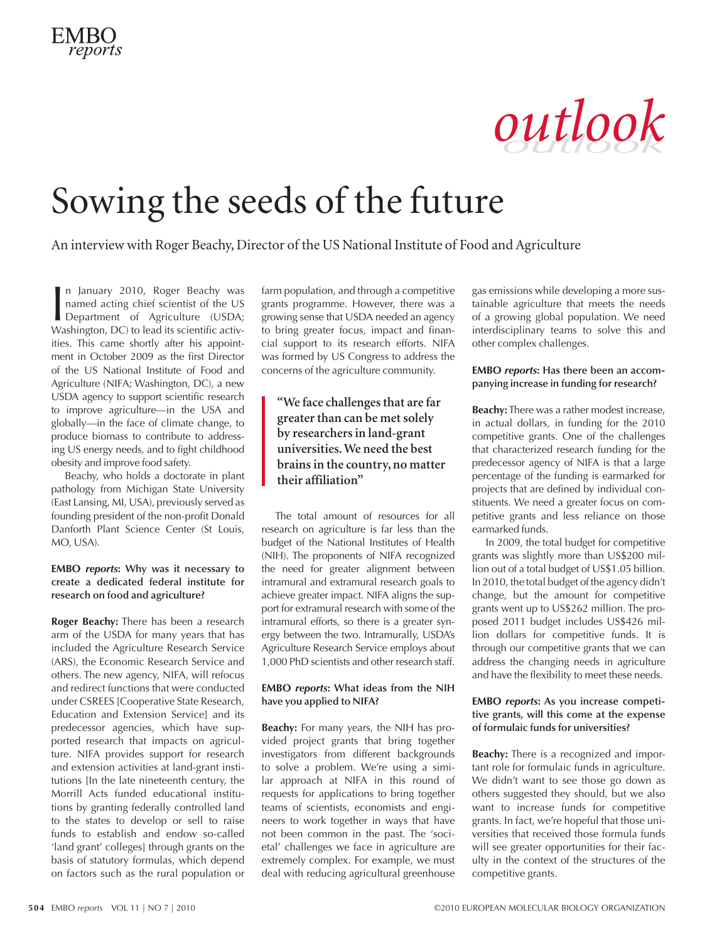

# Sowing the seeds of the future

An interview with Roger Beachy, Director of the US National Institute of Food and Agriculture

In January 2010, Roger Beachy was<br>named acting chief scientist of the US<br>Department of Agriculture (USDA;<br>Washington, DC) to lead its scientific activn January 2010, Roger Beachy was named acting chief scientist of the US Department of Agriculture (USDA; ities. This came shortly after his appointment in October 2009 as the first Director of the US National Institute of Food and Agriculture (NIFA; Washington, DC), a new USDA agency to support scientific research to improve agriculture—in the USA and globally—in the face of climate change, to produce biomass to contribute to addressing US energy needs, and to fight childhood obesity and improve food safety.

Beachy, who holds a doctorate in plant pathology from Michigan State University (East Lansing, MI, USA), previously served as founding president of the non-profit Donald Danforth Plant Science Center (St Louis, MO, USA).

#### **EMBO** *reports***: Why was it necessary to create a dedicated federal institute for research on food and agriculture?**

**Roger Beachy:** There has been a research arm of the USDA for many years that has included the Agriculture Research Service (ARS), the Economic Research Service and others. The new agency, NIFA, will refocus and redirect functions that were conducted under CSREES [Cooperative State Research, Education and Extension Service] and its predecessor agencies, which have supported research that impacts on agriculture. NIFA provides support for research and extension activities at land-grant institutions [In the late nineteenth century, the Morrill Acts funded educational institutions by granting federally controlled land to the states to develop or sell to raise funds to establish and endow so-called 'land grant' colleges] through grants on the basis of statutory formulas, which depend on factors such as the rural population or farm population, and through a competitive grants programme. However, there was a growing sense that USDA needed an agency to bring greater focus, impact and financial support to its research efforts. NIFA was formed by US Congress to address the concerns of the agriculture community.

### **"We face challenges that are far greater than can be met solely by researchers in land-grant universities. We need the best brains in the country, no matter their affiliation"**

The total amount of resources for all research on agriculture is far less than the budget of the National Institutes of Health (NIH). The proponents of NIFA recognized the need for greater alignment between intramural and extramural research goals to achieve greater impact. NIFA aligns the support for extramural research with some of the intramural efforts, so there is a greater synergy between the two. Intramurally, USDA's Agriculture Research Service employs about 1,000 PhD scientists and other research staff.

#### **EMBO** *reports***: What ideas from the NIH have you applied to NIFA?**

**Beachy:** For many years, the NIH has provided project grants that bring together investigators from different backgrounds to solve a problem. We're using a similar approach at NIFA in this round of requests for applications to bring together teams of scientists, economists and engineers to work together in ways that have not been common in the past. The 'societal' challenges we face in agriculture are extremely complex. For example, we must deal with reducing agricultural greenhouse gas emissions while developing a more sustainable agriculture that meets the needs of a growing global population. We need interdisciplinary teams to solve this and other complex challenges.

#### **EMBO** *reports***: Has there been an accompanying increase in funding for research?**

**Beachy:** There was a rather modest increase, in actual dollars, in funding for the 2010 competitive grants. One of the challenges that characterized research funding for the predecessor agency of NIFA is that a large percentage of the funding is earmarked for projects that are defined by individual constituents. We need a greater focus on competitive grants and less reliance on those earmarked funds.

In 2009, the total budget for competitive grants was slightly more than US\$200 million out of a total budget of US\$1.05 billion. In 2010, the total budget of the agency didn't change, but the amount for competitive grants went up to US\$262 million. The proposed 2011 budget includes US\$426 million dollars for competitive funds. It is through our competitive grants that we can address the changing needs in agriculture and have the flexibility to meet these needs.

#### **EMBO** *reports***: As you increase competitive grants, will this come at the expense of formulaic funds for universities?**

**Beachy:** There is a recognized and important role for formulaic funds in agriculture. We didn't want to see those go down as others suggested they should, but we also want to increase funds for competitive grants. In fact, we're hopeful that those universities that received those formula funds will see greater opportunities for their faculty in the context of the structures of the competitive grants.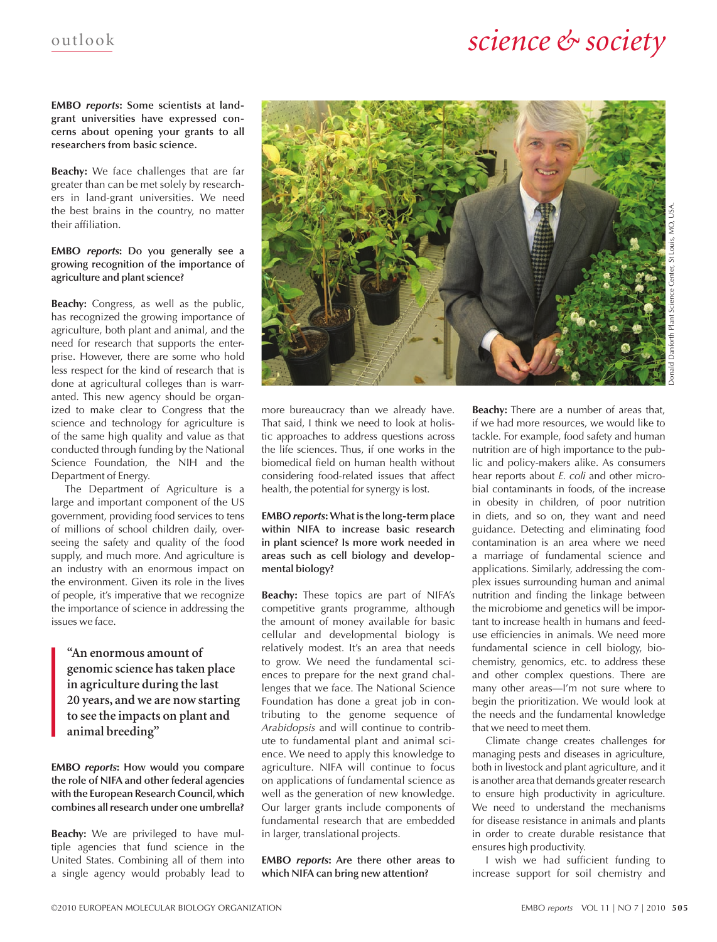## outlook *science & society*

**EMBO** *reports***: Some scientists at landgrant universities have expressed concerns about opening your grants to all researchers from basic science.**

**Beachy:** We face challenges that are far greater than can be met solely by researchers in land-grant universities. We need the best brains in the country, no matter their affiliation.

#### **EMBO** *reports***: Do you generally see a growing recognition of the importance of agriculture and plant science?**

**Beachy:** Congress, as well as the public, has recognized the growing importance of agriculture, both plant and animal, and the need for research that supports the enterprise. However, there are some who hold less respect for the kind of research that is done at agricultural colleges than is warranted. This new agency should be organized to make clear to Congress that the science and technology for agriculture is of the same high quality and value as that conducted through funding by the National Science Foundation, the NIH and the Department of Energy.

The Department of Agriculture is a large and important component of the US government, providing food services to tens of millions of school children daily, overseeing the safety and quality of the food supply, and much more. And agriculture is an industry with an enormous impact on the environment. Given its role in the lives of people, it's imperative that we recognize the importance of science in addressing the issues we face.

**"An enormous amount of genomic science has taken place in agriculture during the last 20 years, and we are now starting to see the impacts on plant and animal breeding"**

**EMBO** *reports***: How would you compare the role of NIFA and other federal agencies with the European Research Council, which combines all research under one umbrella?**

**Beachy:** We are privileged to have multiple agencies that fund science in the United States. Combining all of them into a single agency would probably lead to



more bureaucracy than we already have. That said, I think we need to look at holistic approaches to address questions across the life sciences. Thus, if one works in the biomedical field on human health without considering food-related issues that affect health, the potential for synergy is lost.

**EMBO** *reports***: What is the long-term place within NIFA to increase basic research in plant science? Is more work needed in areas such as cell biology and developmental biology?**

**Beachy:** These topics are part of NIFA's competitive grants programme, although the amount of money available for basic cellular and developmental biology is relatively modest. It's an area that needs to grow. We need the fundamental sciences to prepare for the next grand challenges that we face. The National Science Foundation has done a great job in contributing to the genome sequence of *Arabidopsis* and will continue to contribute to fundamental plant and animal science. We need to apply this knowledge to agriculture. NIFA will continue to focus on applications of fundamental science as well as the generation of new knowledge. Our larger grants include components of fundamental research that are embedded in larger, translational projects.

**EMBO** *reports***: Are there other areas to which NIFA can bring new attention?**

**Beachy:** There are a number of areas that, if we had more resources, we would like to tackle. For example, food safety and human nutrition are of high importance to the public and policy-makers alike. As consumers hear reports about *E. coli* and other microbial contaminants in foods, of the increase in obesity in children, of poor nutrition in diets, and so on, they want and need guidance. Detecting and eliminating food contamination is an area where we need a marriage of fundamental science and applications. Similarly, addressing the complex issues surrounding human and animal nutrition and finding the linkage between the microbiome and genetics will be important to increase health in humans and feeduse efficiencies in animals. We need more fundamental science in cell biology, biochemistry, genomics, etc. to address these and other complex questions. There are many other areas—I'm not sure where to begin the prioritization. We would look at the needs and the fundamental knowledge that we need to meet them.

Climate change creates challenges for managing pests and diseases in agriculture, both in livestock and plant agriculture, and it is another area that demands greater research to ensure high productivity in agriculture. We need to understand the mechanisms for disease resistance in animals and plants in order to create durable resistance that ensures high productivity.

I wish we had sufficient funding to increase support for soil chemistry and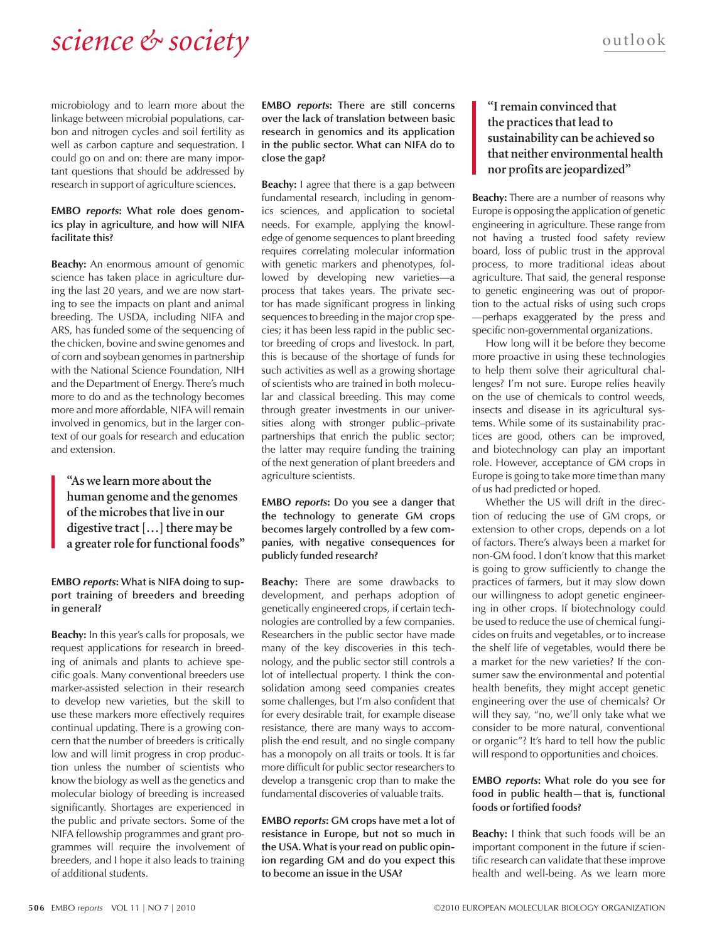### *science & society* outlook

microbiology and to learn more about the linkage between microbial populations, carbon and nitrogen cycles and soil fertility as well as carbon capture and sequestration. I could go on and on: there are many important questions that should be addressed by research in support of agriculture sciences.

#### **EMBO** *reports***: What role does genomics play in agriculture, and how will NIFA facilitate this?**

**Beachy:** An enormous amount of genomic science has taken place in agriculture during the last 20 years, and we are now starting to see the impacts on plant and animal breeding. The USDA, including NIFA and ARS, has funded some of the sequencing of the chicken, bovine and swine genomes and of corn and soybean genomes in partnership with the National Science Foundation, NIH and the Department of Energy. There's much more to do and as the technology becomes more and more affordable, NIFA will remain involved in genomics, but in the larger context of our goals for research and education and extension.

**"As we learn more about the human genome and the genomes of the microbes that live in our digestive tract […] there may be a greater role for functional foods"**

**EMBO** *reports***: What is NIFA doing to support training of breeders and breeding in general?**

**Beachy:** In this year's calls for proposals, we request applications for research in breeding of animals and plants to achieve specific goals. Many conventional breeders use marker-assisted selection in their research to develop new varieties, but the skill to use these markers more effectively requires continual updating. There is a growing concern that the number of breeders is critically low and will limit progress in crop production unless the number of scientists who know the biology as well as the genetics and molecular biology of breeding is increased significantly. Shortages are experienced in the public and private sectors. Some of the NIFA fellowship programmes and grant programmes will require the involvement of breeders, and I hope it also leads to training of additional students.

**EMBO** *reports***: There are still concerns over the lack of translation between basic research in genomics and its application in the public sector. What can NIFA do to close the gap?**

**Beachy:** I agree that there is a gap between fundamental research, including in genomics sciences, and application to societal needs. For example, applying the knowledge of genome sequences to plant breeding requires correlating molecular information with genetic markers and phenotypes, followed by developing new varieties—a process that takes years. The private sector has made significant progress in linking sequences to breeding in the major crop species; it has been less rapid in the public sector breeding of crops and livestock. In part, this is because of the shortage of funds for such activities as well as a growing shortage of scientists who are trained in both molecular and classical breeding. This may come through greater investments in our universities along with stronger public–private partnerships that enrich the public sector; the latter may require funding the training of the next generation of plant breeders and agriculture scientists.

**EMBO** *reports***: Do you see a danger that the technology to generate GM crops becomes largely controlled by a few companies, with negative consequences for publicly funded research?**

**Beachy:** There are some drawbacks to development, and perhaps adoption of genetically engineered crops, if certain technologies are controlled by a few companies. Researchers in the public sector have made many of the key discoveries in this technology, and the public sector still controls a lot of intellectual property. I think the consolidation among seed companies creates some challenges, but I'm also confident that for every desirable trait, for example disease resistance, there are many ways to accomplish the end result, and no single company has a monopoly on all traits or tools. It is far more difficult for public sector researchers to develop a transgenic crop than to make the fundamental discoveries of valuable traits.

**EMBO** *reports***: GM crops have met a lot of resistance in Europe, but not so much in the USA. What is your read on public opinion regarding GM and do you expect this to become an issue in the USA?**

### **"I remain convinced that the practices that lead to sustainability can be achieved so that neither environmental health nor profits are jeopardized"**

**Beachy:** There are a number of reasons why Europe is opposing the application of genetic engineering in agriculture. These range from not having a trusted food safety review board, loss of public trust in the approval process, to more traditional ideas about agriculture. That said, the general response to genetic engineering was out of proportion to the actual risks of using such crops —perhaps exaggerated by the press and specific non-governmental organizations.

How long will it be before they become more proactive in using these technologies to help them solve their agricultural challenges? I'm not sure. Europe relies heavily on the use of chemicals to control weeds, insects and disease in its agricultural systems. While some of its sustainability practices are good, others can be improved, and biotechnology can play an important role. However, acceptance of GM crops in Europe is going to take more time than many of us had predicted or hoped.

Whether the US will drift in the direction of reducing the use of GM crops, or extension to other crops, depends on a lot of factors. There's always been a market for non-GM food. I don't know that this market is going to grow sufficiently to change the practices of farmers, but it may slow down our willingness to adopt genetic engineering in other crops. If biotechnology could be used to reduce the use of chemical fungicides on fruits and vegetables, or to increase the shelf life of vegetables, would there be a market for the new varieties? If the consumer saw the environmental and potential health benefits, they might accept genetic engineering over the use of chemicals? Or will they say, "no, we'll only take what we consider to be more natural, conventional or organic"? It's hard to tell how the public will respond to opportunities and choices.

#### **EMBO** *reports***: What role do you see for food in public health—that is, functional foods or fortified foods?**

**Beachy:** I think that such foods will be an important component in the future if scientific research can validate that these improve health and well-being. As we learn more